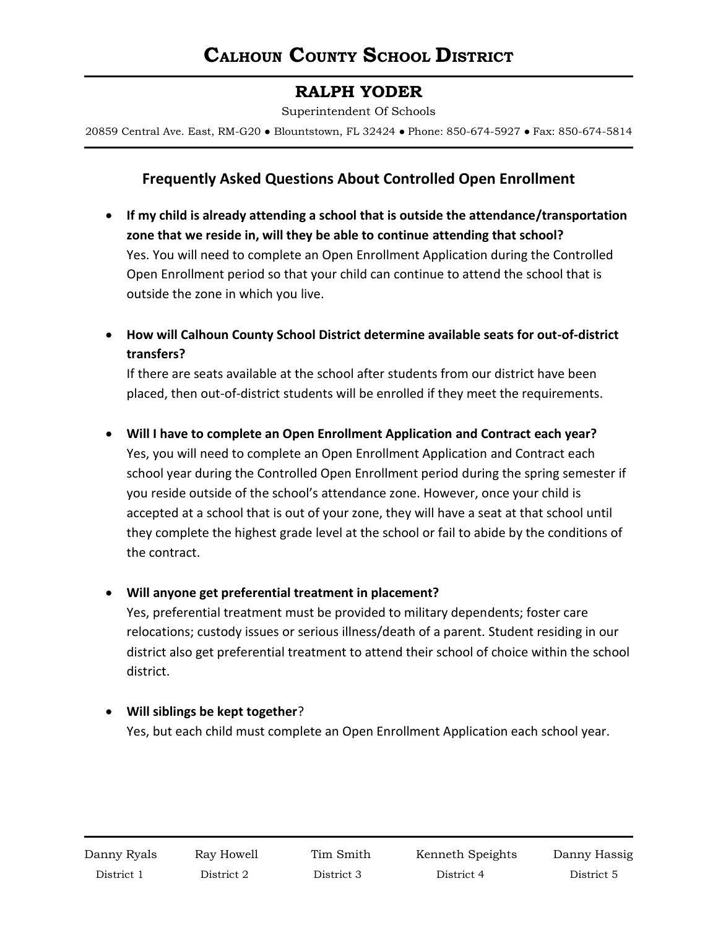# **RALPH YODER**

Superintendent Of Schools

20859 Central Ave. East, RM-G20 ● Blountstown, FL 32424 ● Phone: 850-674-5927 ● Fax: 850-674-5814

## **Frequently Asked Questions About Controlled Open Enrollment**

- **If my child is already attending a school that is outside the attendance/transportation zone that we reside in, will they be able to continue attending that school?** Yes. You will need to complete an Open Enrollment Application during the Controlled Open Enrollment period so that your child can continue to attend the school that is outside the zone in which you live.
- **How will Calhoun County School District determine available seats for out-of-district transfers?**

If there are seats available at the school after students from our district have been placed, then out-of-district students will be enrolled if they meet the requirements.

#### **Will I have to complete an Open Enrollment Application and Contract each year?**

Yes, you will need to complete an Open Enrollment Application and Contract each school year during the Controlled Open Enrollment period during the spring semester if you reside outside of the school's attendance zone. However, once your child is accepted at a school that is out of your zone, they will have a seat at that school until they complete the highest grade level at the school or fail to abide by the conditions of the contract.

#### **Will anyone get preferential treatment in placement?**

Yes, preferential treatment must be provided to military dependents; foster care relocations; custody issues or serious illness/death of a parent. Student residing in our district also get preferential treatment to attend their school of choice within the school district.

### **Will siblings be kept together**?

Yes, but each child must complete an Open Enrollment Application each school year.